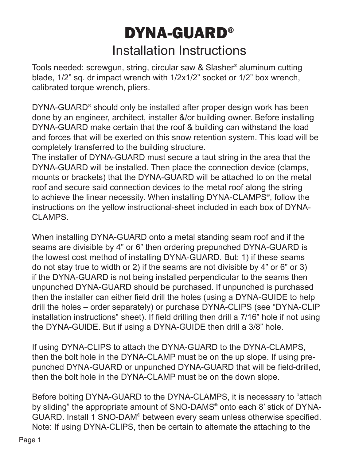## DYNA-GUARD® Installation Instructions

Tools needed: screwgun, string, circular saw & Slasher® aluminum cutting blade, 1/2" sq. dr impact wrench with 1/2x1/2" socket or 1/2" box wrench, calibrated torque wrench, pliers.

DYNA-GUARD® should only be installed after proper design work has been done by an engineer, architect, installer &/or building owner. Before installing DYNA-GUARD make certain that the roof & building can withstand the load and forces that will be exerted on this snow retention system. This load will be completely transferred to the building structure.

The installer of DYNA-GUARD must secure a taut string in the area that the DYNA-GUARD will be installed. Then place the connection device (clamps, mounts or brackets) that the DYNA-GUARD will be attached to on the metal roof and secure said connection devices to the metal roof along the string to achieve the linear necessity. When installing DYNA-CLAMPS® , follow the instructions on the yellow instructional-sheet included in each box of DYNA-CLAMPS.

When installing DYNA-GUARD onto a metal standing seam roof and if the seams are divisible by 4" or 6" then ordering prepunched DYNA-GUARD is the lowest cost method of installing DYNA-GUARD. But; 1) if these seams do not stay true to width or 2) if the seams are not divisible by 4" or 6" or 3) if the DYNA-GUARD is not being installed perpendicular to the seams then unpunched DYNA-GUARD should be purchased. If unpunched is purchased then the installer can either field drill the holes (using a DYNA-GUIDE to help drill the holes – order separately) or purchase DYNA-CLIPS (see "DYNA-CLIP installation instructions" sheet). If field drilling then drill a 7/16" hole if not using the DYNA-GUIDE. But if using a DYNA-GUIDE then drill a 3/8" hole.

If using DYNA-CLIPS to attach the DYNA-GUARD to the DYNA-CLAMPS, then the bolt hole in the DYNA-CLAMP must be on the up slope. If using prepunched DYNA-GUARD or unpunched DYNA-GUARD that will be field-drilled, then the bolt hole in the DYNA-CLAMP must be on the down slope.

Before bolting DYNA-GUARD to the DYNA-CLAMPS, it is necessary to "attach by sliding" the appropriate amount of SNO-DAMS® onto each 8' stick of DYNA-GUARD. Install 1 SNO-DAM® between every seam unless otherwise specified. Note: If using DYNA-CLIPS, then be certain to alternate the attaching to the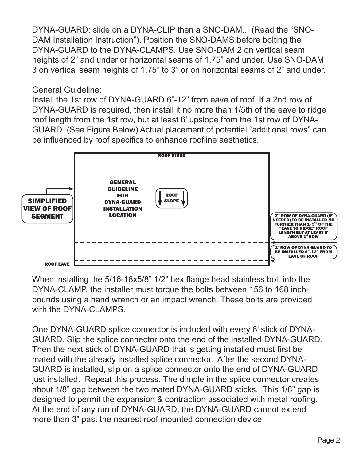DYNA-GUARD; slide on a DYNA-CLIP then a SNO-DAM... (Read the "SNO-DAM Installation Instruction"). Position the SNO-DAMS before bolting the DYNA-GUARD to the DYNA-CLAMPS. Use SNO-DAM 2 on vertical seam heights of 2" and under or horizontal seams of 1.75" and under. Use SNO-DAM 3 on vertical seam heights of 1.75" to 3" or on horizontal seams of 2" and under.

General Guideline:

Install the 1st row of DYNA-GUARD 6"-12" from eave of roof. If a 2nd row of DYNA-GUARD is required, then install it no more than 1/5th of the eave to ridge roof length from the 1st row, but at least 6' upslope from the 1st row of DYNA-GUARD. (See Figure Below) Actual placement of potential "additional rows" can be influenced by roof specifics to enhance roofline aesthetics.



When installing the 5/16-18x5/8" 1/2" hex flange head stainless bolt into the DYNA-CLAMP, the installer must torque the bolts between 156 to 168 inchpounds using a hand wrench or an impact wrench. These bolts are provided with the DYNA-CLAMPS.

One DYNA-GUARD splice connector is included with every 8' stick of DYNA-GUARD. Slip the splice connector onto the end of the installed DYNA-GUARD. Then the next stick of DYNA-GUARD that is getting installed must first be mated with the already installed splice connector. After the second DYNA-GUARD is installed, slip on a splice connector onto the end of DYNA-GUARD just installed. Repeat this process. The dimple in the splice connector creates about 1/8" gap between the two mated DYNA-GUARD sticks. This 1/8" gap is designed to permit the expansion & contraction associated with metal roofing. At the end of any run of DYNA-GUARD, the DYNA-GUARD cannot extend more than 3" past the nearest roof mounted connection device.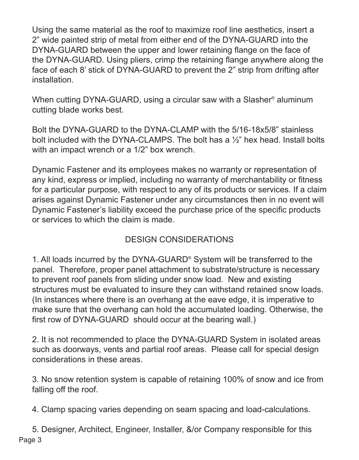Using the same material as the roof to maximize roof line aesthetics, insert a 2" wide painted strip of metal from either end of the DYNA-GUARD into the DYNA-GUARD between the upper and lower retaining flange on the face of the DYNA-GUARD. Using pliers, crimp the retaining flange anywhere along the face of each 8' stick of DYNA-GUARD to prevent the 2" strip from drifting after installation.

When cutting DYNA-GUARD, using a circular saw with a Slasher® aluminum cutting blade works best.

Bolt the DYNA-GUARD to the DYNA-CLAMP with the 5/16-18x5/8" stainless bolt included with the DYNA-CLAMPS. The bolt has a ½" hex head. Install bolts with an impact wrench or a 1/2" box wrench.

Dynamic Fastener and its employees makes no warranty or representation of any kind, express or implied, including no warranty of merchantability or fitness for a particular purpose, with respect to any of its products or services. If a claim arises against Dynamic Fastener under any circumstances then in no event will Dynamic Fastener's liability exceed the purchase price of the specific products or services to which the claim is made.

### DESIGN CONSIDERATIONS

1. All loads incurred by the DYNA-GUARD® System will be transferred to the panel. Therefore, proper panel attachment to substrate/structure is necessary to prevent roof panels from sliding under snow load. New and existing structures must be evaluated to insure they can withstand retained snow loads. (In instances where there is an overhang at the eave edge, it is imperative to make sure that the overhang can hold the accumulated loading. Otherwise, the first row of DYNA-GUARD should occur at the bearing wall.)

2. It is not recommended to place the DYNA-GUARD System in isolated areas such as doorways, vents and partial roof areas. Please call for special design considerations in these areas.

3. No snow retention system is capable of retaining 100% of snow and ice from falling off the roof.

4. Clamp spacing varies depending on seam spacing and load-calculations.

5. Designer, Architect, Engineer, Installer, &/or Company responsible for this Page 3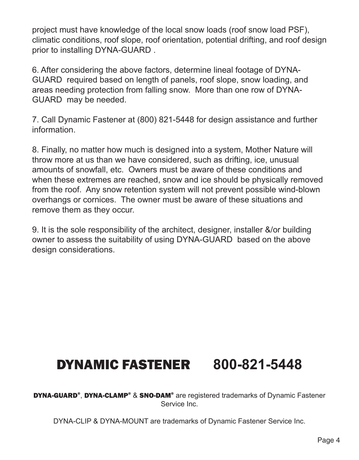project must have knowledge of the local snow loads (roof snow load PSF), climatic conditions, roof slope, roof orientation, potential drifting, and roof design prior to installing DYNA-GUARD .

6. After considering the above factors, determine lineal footage of DYNA-GUARD required based on length of panels, roof slope, snow loading, and areas needing protection from falling snow. More than one row of DYNA-GUARD may be needed.

7. Call Dynamic Fastener at (800) 821-5448 for design assistance and further information.

8. Finally, no matter how much is designed into a system, Mother Nature will throw more at us than we have considered, such as drifting, ice, unusual amounts of snowfall, etc. Owners must be aware of these conditions and when these extremes are reached, snow and ice should be physically removed from the roof. Any snow retention system will not prevent possible wind-blown overhangs or cornices. The owner must be aware of these situations and remove them as they occur.

9. It is the sole responsibility of the architect, designer, installer &/or building owner to assess the suitability of using DYNA-GUARD based on the above design considerations.

## DYNAMIC FASTENER **800-821-5448**

DYNA-GUARD<sup>®</sup>, DYNA-CLAMP<sup>®</sup> & SNO-DAM<sup>®</sup> are registered trademarks of Dynamic Fastener Service Inc.

DYNA-CLIP & DYNA-MOUNT are trademarks of Dynamic Fastener Service Inc.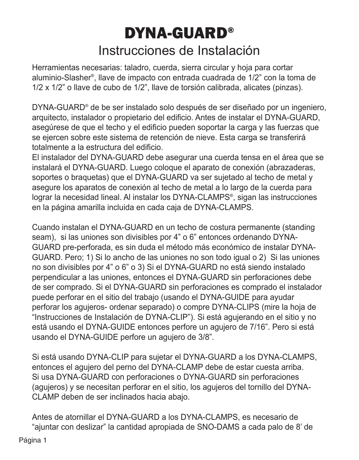# DYNA-GUARD® Instrucciones de Instalación

Herramientas necesarias: taladro, cuerda, sierra circular y hoja para cortar aluminio-Slasher® , llave de impacto con entrada cuadrada de 1/2" con la toma de 1/2 x 1/2" o llave de cubo de 1/2", llave de torsión calibrada, alicates (pinzas).

DYNA-GUARD® de be ser instalado solo después de ser diseñado por un ingeniero, arquitecto, instalador o propietario del edificio. Antes de instalar el DYNA-GUARD, asegúrese de que el techo y el edificio pueden soportar la carga y las fuerzas que se ejercen sobre este sistema de retención de nieve. Esta carga se transferirá totalmente a la estructura del edificio.

El instalador del DYNA-GUARD debe asegurar una cuerda tensa en el área que se instalará el DYNA-GUARD. Luego coloque el aparato de conexión (abrazaderas, soportes o braquetas) que el DYNA-GUARD va ser sujetado al techo de metal y asegure los aparatos de conexión al techo de metal a lo largo de la cuerda para lograr la necesidad lineal. Al instalar los DYNA-CLAMPS® , sigan las instrucciones en la página amarilla incluida en cada caja de DYNA-CLAMPS.

Cuando instalan el DYNA-GUARD en un techo de costura permanente (standing seam), si las uniones son divisibles por 4" o 6" entonces ordenando DYNA-GUARD pre-perforada, es sin duda el método más económico de instalar DYNA-GUARD. Pero; 1) Si lo ancho de las uniones no son todo igual o 2) Si las uniones no son divisibles por 4" o 6" o 3) Si el DYNA-GUARD no está siendo instalado perpendicular a las uniones, entonces el DYNA-GUARD sin perforaciones debe de ser comprado. Si el DYNA-GUARD sin perforaciones es comprado el instalador puede perforar en el sitio del trabajo (usando el DYNA-GUIDE para ayudar perforar los agujeros- ordenar separado) o compre DYNA-CLIPS (mire la hoja de "Instrucciones de Instalación de DYNA-CLIP"). Si está agujerando en el sitio y no está usando el DYNA-GUIDE entonces perfore un agujero de 7/16". Pero si está usando el DYNA-GUIDE perfore un agujero de 3/8".

Si está usando DYNA-CLIP para sujetar el DYNA-GUARD a los DYNA-CLAMPS, entonces el agujero del perno del DYNA-CLAMP debe de estar cuesta arriba. Si usa DYNA-GUARD con perforaciones o DYNA-GUARD sin perforaciones (agujeros) y se necesitan perforar en el sitio, los agujeros del tornillo del DYNA-CLAMP deben de ser inclinados hacia abajo.

Antes de atornillar el DYNA-GUARD a los DYNA-CLAMPS, es necesario de "ajuntar con deslizar" la cantidad apropiada de SNO-DAMS a cada palo de 8' de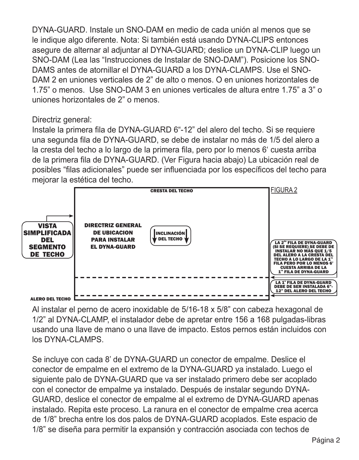DYNA-GUARD. Instale un SNO-DAM en medio de cada unión al menos que se le indique algo diferente. Nota: Si también está usando DYNA-CLIPS entonces asegure de alternar al adjuntar al DYNA-GUARD; deslice un DYNA-CLIP luego un SNO-DAM (Lea las "Instrucciones de Instalar de SNO-DAM"). Posicione los SNO-DAMS antes de atornillar el DYNA-GUARD a los DYNA-CLAMPS. Use el SNO-DAM 2 en uniones verticales de 2" de alto o menos. O en uniones horizontales de 1.75" o menos. Use SNO-DAM 3 en uniones verticales de altura entre 1.75" a 3" o uniones horizontales de 2" o menos.

#### Directriz general:

Instale la primera fila de DYNA-GUARD 6"-12" del alero del techo. Si se requiere una segunda fila de DYNA-GUARD, se debe de instalar no más de 1/5 del alero a la cresta del techo a lo largo de la primera fila, pero por lo menos 6' cuesta arriba de la primera fila de DYNA-GUARD. (Ver Figura hacia abajo) La ubicación real de posibles "filas adicionales" puede ser influenciada por los específicos del techo para mejorar la estética del techo.



Al instalar el perno de acero inoxidable de 5/16-18 x 5/8" con cabeza hexagonal de 1/2" al DYNA-CLAMP, el instalador debe de apretar entre 156 a 168 pulgadas-libras usando una llave de mano o una llave de impacto. Estos pernos están incluidos con los DYNA-CLAMPS.

Se incluye con cada 8' de DYNA-GUARD un conector de empalme. Deslice el conector de empalme en el extremo de la DYNA-GUARD ya instalado. Luego el siguiente palo de DYNA-GUARD que va ser instalado primero debe ser acoplado con el conector de empalme ya instalado. Después de instalar segundo DYNA-GUARD, deslice el conector de empalme al el extremo de DYNA-GUARD apenas instalado. Repita este proceso. La ranura en el conector de empalme crea acerca de 1/8" brecha entre los dos palos de DYNA-GUARD acoplados. Este espacio de 1/8" se diseña para permitir la expansión y contracción asociada con techos de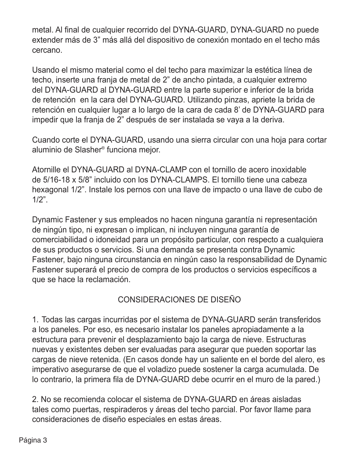metal. Al final de cualquier recorrido del DYNA-GUARD, DYNA-GUARD no puede extender más de 3" más allá del dispositivo de conexión montado en el techo más cercano.

Usando el mismo material como el del techo para maximizar la estética línea de techo, inserte una franja de metal de 2" de ancho pintada, a cualquier extremo del DYNA-GUARD al DYNA-GUARD entre la parte superior e inferior de la brida de retención en la cara del DYNA-GUARD. Utilizando pinzas, apriete la brida de retención en cualquier lugar a lo largo de la cara de cada 8' de DYNA-GUARD para impedir que la franja de 2" después de ser instalada se vaya a la deriva.

Cuando corte el DYNA-GUARD, usando una sierra circular con una hoja para cortar aluminio de Slasher® funciona mejor.

Atornille el DYNA-GUARD al DYNA-CLAMP con el tornillo de acero inoxidable de 5/16-18 x 5/8" incluido con los DYNA-CLAMPS. El tornillo tiene una cabeza hexagonal 1/2". Instale los pernos con una llave de impacto o una llave de cubo de  $1/2$ ".

Dynamic Fastener y sus empleados no hacen ninguna garantía ni representación de ningún tipo, ni expresan o implican, ni incluyen ninguna garantía de comerciabilidad o idoneidad para un propósito particular, con respecto a cualquiera de sus productos o servicios. Si una demanda se presenta contra Dynamic Fastener, bajo ninguna circunstancia en ningún caso la responsabilidad de Dynamic Fastener superará el precio de compra de los productos o servicios específicos a que se hace la reclamación.

### CONSIDERACIONES DE DISEÑO

1. Todas las cargas incurridas por el sistema de DYNA-GUARD serán transferidos a los paneles. Por eso, es necesario instalar los paneles apropiadamente a la estructura para prevenir el desplazamiento bajo la carga de nieve. Estructuras nuevas y existentes deben ser evaluadas para asegurar que pueden soportar las cargas de nieve retenida. (En casos donde hay un saliente en el borde del alero, es imperativo asegurarse de que el voladizo puede sostener la carga acumulada. De lo contrario, la primera fila de DYNA-GUARD debe ocurrir en el muro de la pared.)

2. No se recomienda colocar el sistema de DYNA-GUARD en áreas aisladas tales como puertas, respiraderos y áreas del techo parcial. Por favor llame para consideraciones de diseño especiales en estas áreas.